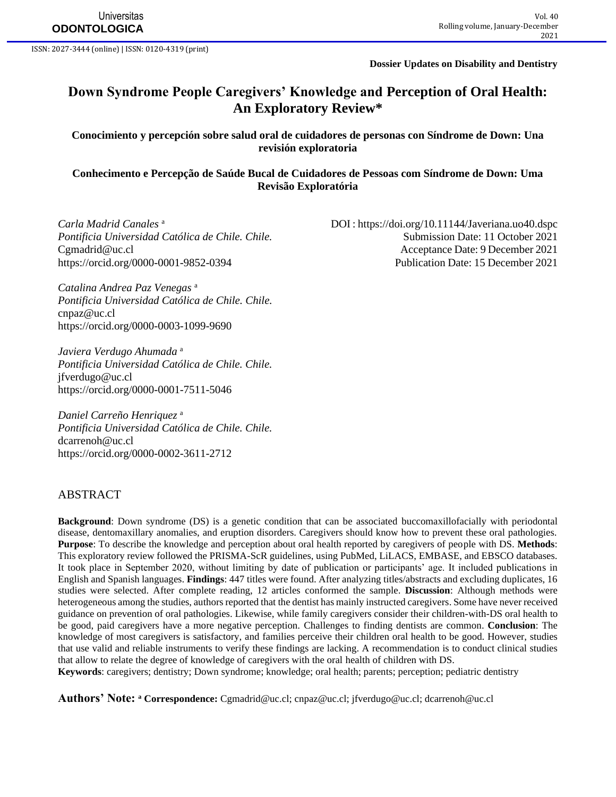ISSN: 2027-3444 (online) | ISSN: 0120-4319 (print)

**Dossier Updates on Disability and Dentistry**

DOI :<https://doi.org/10.11144/Javeriana.uo40.dspc>

# **Down Syndrome People Caregivers' Knowledge and Perception of Oral Health: An Exploratory Review\***

#### **Conocimiento y percepción sobre salud oral de cuidadores de personas con Síndrome de Down: Una revisión exploratoria**

#### **Conhecimento e Percepção de Saúde Bucal de Cuidadores de Pessoas com Síndrome de Down: Uma Revisão Exploratória**

*Carla Madrid Canales* <sup>a</sup> *Pontificia Universidad Católica de Chile. Chile.* Submission Date: 11 October 2021 [Cgmadrid@uc.cl](mailto:Cgmadrid@uc.cl) Acceptance Date: 9 December 2021

<https://orcid.org/0000-0001-9852-0394> Publication Date: 15 December 2021

*Catalina Andrea Paz Venegas* <sup>a</sup> *Pontificia Universidad Católica de Chile. Chile.*  [cnpaz@uc.cl](mailto:cnpaz@uc.cl) <https://orcid.org/0000-0003-1099-9690>

*Javiera Verdugo Ahumada* <sup>a</sup> *Pontificia Universidad Católica de Chile. Chile.*  [jfverdugo@uc.cl](mailto:jfverdugo@uc.cl) <https://orcid.org/0000-0001-7511-5046>

*Daniel Carreño Henriquez* <sup>a</sup> *Pontificia Universidad Católica de Chile. Chile.*  [dcarrenoh@uc.cl](mailto:dcarrenoh@uc.cl) <https://orcid.org/0000-0002-3611-2712>

#### ABSTRACT

**Background**: Down syndrome (DS) is a genetic condition that can be associated buccomaxillofacially with periodontal disease, dentomaxillary anomalies, and eruption disorders. Caregivers should know how to prevent these oral pathologies. **Purpose**: To describe the knowledge and perception about oral health reported by caregivers of people with DS. **Methods**: This exploratory review followed the PRISMA-ScR guidelines, using PubMed, LiLACS, EMBASE, and EBSCO databases. It took place in September 2020, without limiting by date of publication or participants' age. It included publications in English and Spanish languages. **Findings**: 447 titles were found. After analyzing titles/abstracts and excluding duplicates, 16 studies were selected. After complete reading, 12 articles conformed the sample. **Discussion**: Although methods were heterogeneous among the studies, authors reported that the dentist has mainly instructed caregivers. Some have never received guidance on prevention of oral pathologies. Likewise, while family caregivers consider their children-with-DS oral health to be good, paid caregivers have a more negative perception. Challenges to finding dentists are common. **Conclusion**: The knowledge of most caregivers is satisfactory, and families perceive their children oral health to be good. However, studies that use valid and reliable instruments to verify these findings are lacking. A recommendation is to conduct clinical studies that allow to relate the degree of knowledge of caregivers with the oral health of children with DS.

**Keywords**: caregivers; dentistry; Down syndrome; knowledge; oral health; parents; perception; pediatric dentistry

**Authors' Note: <sup>a</sup> Correspondence:** [Cgmadrid@uc.cl;](mailto:Cgmadrid@uc.cl) [cnpaz@uc.cl;](mailto:cnpaz@uc.cl) [jfverdugo@uc.cl;](mailto:jfverdugo@uc.cl) [dcarrenoh@uc.cl](mailto:dcarrenoh@uc.cl)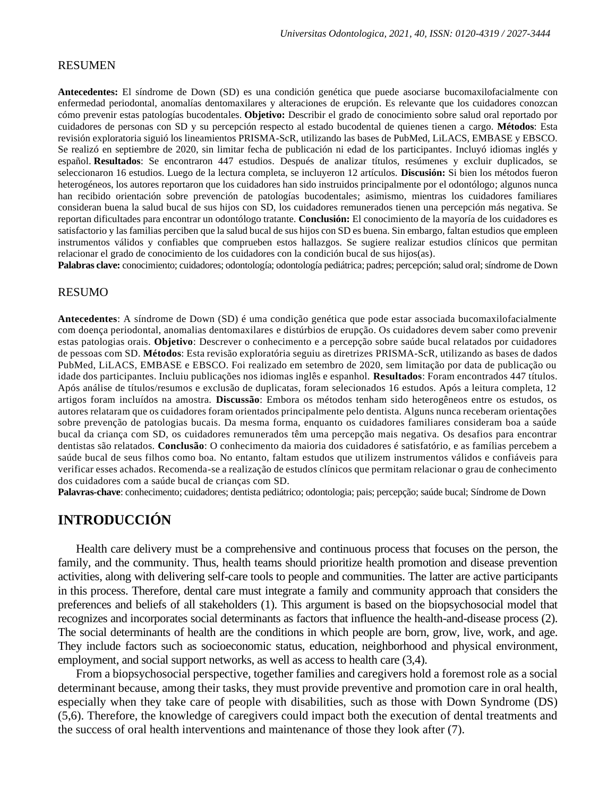#### RESUMEN

**Antecedentes:** El síndrome de Down (SD) es una condición genética que puede asociarse bucomaxilofacialmente con enfermedad periodontal, anomalías dentomaxilares y alteraciones de erupción. Es relevante que los cuidadores conozcan cómo prevenir estas patologías bucodentales. **Objetivo:** Describir el grado de conocimiento sobre salud oral reportado por cuidadores de personas con SD y su percepción respecto al estado bucodental de quienes tienen a cargo. **Métodos**: Esta revisión exploratoria siguió los lineamientos PRISMA-ScR, utilizando las bases de PubMed, LiLACS, EMBASE y EBSCO. Se realizó en septiembre de 2020, sin limitar fecha de publicación ni edad de los participantes. Incluyó idiomas inglés y español. **Resultados**: Se encontraron 447 estudios. Después de analizar títulos, resúmenes y excluir duplicados, se seleccionaron 16 estudios. Luego de la lectura completa, se incluyeron 12 artículos. **Discusión:** Si bien los métodos fueron heterogéneos, los autores reportaron que los cuidadores han sido instruidos principalmente por el odontólogo; algunos nunca han recibido orientación sobre prevención de patologías bucodentales; asimismo, mientras los cuidadores familiares consideran buena la salud bucal de sus hijos con SD, los cuidadores remunerados tienen una percepción más negativa. Se reportan dificultades para encontrar un odontólogo tratante. **Conclusión:** El conocimiento de la mayoría de los cuidadores es satisfactorio y las familias perciben que la salud bucal de sus hijos con SD es buena. Sin embargo, faltan estudios que empleen instrumentos válidos y confiables que comprueben estos hallazgos. Se sugiere realizar estudios clínicos que permitan relacionar el grado de conocimiento de los cuidadores con la condición bucal de sus hijos(as).

Palabras clave: conocimiento; cuidadores; odontología; odontología pediátrica; padres; percepción; salud oral; síndrome de Down

#### RESUMO

**Antecedentes**: A síndrome de Down (SD) é uma condição genética que pode estar associada bucomaxilofacialmente com doença periodontal, anomalias dentomaxilares e distúrbios de erupção. Os cuidadores devem saber como prevenir estas patologias orais. **Objetivo**: Descrever o conhecimento e a percepção sobre saúde bucal relatados por cuidadores de pessoas com SD. **Métodos**: Esta revisão exploratória seguiu as diretrizes PRISMA-ScR, utilizando as bases de dados PubMed, LiLACS, EMBASE e EBSCO. Foi realizado em setembro de 2020, sem limitação por data de publicação ou idade dos participantes. Incluiu publicações nos idiomas inglês e espanhol. **Resultados**: Foram encontrados 447 títulos. Após análise de títulos/resumos e exclusão de duplicatas, foram selecionados 16 estudos. Após a leitura completa, 12 artigos foram incluídos na amostra. **Discussão**: Embora os métodos tenham sido heterogêneos entre os estudos, os autores relataram que os cuidadores foram orientados principalmente pelo dentista. Alguns nunca receberam orientações sobre prevenção de patologias bucais. Da mesma forma, enquanto os cuidadores familiares consideram boa a saúde bucal da criança com SD, os cuidadores remunerados têm uma percepção mais negativa. Os desafios para encontrar dentistas são relatados. **Conclusão**: O conhecimento da maioria dos cuidadores é satisfatório, e as famílias percebem a saúde bucal de seus filhos como boa. No entanto, faltam estudos que utilizem instrumentos válidos e confiáveis para verificar esses achados. Recomenda-se a realização de estudos clínicos que permitam relacionar o grau de conhecimento dos cuidadores com a saúde bucal de crianças com SD.

**Palavras-chave**: conhecimento; cuidadores; dentista pediátrico; odontologia; pais; percepção; saúde bucal; Síndrome de Down

# **INTRODUCCIÓN**

Health care delivery must be a comprehensive and continuous process that focuses on the person, the family, and the community. Thus, health teams should prioritize health promotion and disease prevention activities, along with delivering self-care tools to people and communities. The latter are active participants in this process. Therefore, dental care must integrate a family and community approach that considers the preferences and beliefs of all stakeholders (1). This argument is based on the biopsychosocial model that recognizes and incorporates social determinants as factors that influence the health-and-disease process (2). The social determinants of health are the conditions in which people are born, grow, live, work, and age. They include factors such as socioeconomic status, education, neighborhood and physical environment, employment, and social support networks, as well as access to health care (3,4).

From a biopsychosocial perspective, together families and caregivers hold a foremost role as a social determinant because, among their tasks, they must provide preventive and promotion care in oral health, especially when they take care of people with disabilities, such as those with Down Syndrome (DS) (5,6). Therefore, the knowledge of caregivers could impact both the execution of dental treatments and the success of oral health interventions and maintenance of those they look after (7).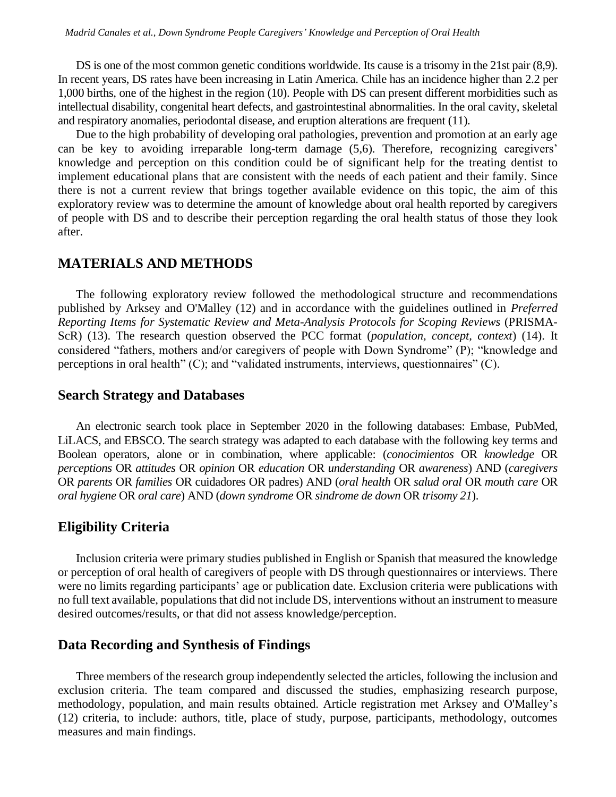DS is one of the most common genetic conditions worldwide. Its cause is a trisomy in the 21st pair (8,9). In recent years, DS rates have been increasing in Latin America. Chile has an incidence higher than 2.2 per 1,000 births, one of the highest in the region (10). People with DS can present different morbidities such as intellectual disability, congenital heart defects, and gastrointestinal abnormalities. In the oral cavity, skeletal and respiratory anomalies, periodontal disease, and eruption alterations are frequent (11).

Due to the high probability of developing oral pathologies, prevention and promotion at an early age can be key to avoiding irreparable long-term damage (5,6). Therefore, recognizing caregivers' knowledge and perception on this condition could be of significant help for the treating dentist to implement educational plans that are consistent with the needs of each patient and their family. Since there is not a current review that brings together available evidence on this topic, the aim of this exploratory review was to determine the amount of knowledge about oral health reported by caregivers of people with DS and to describe their perception regarding the oral health status of those they look after.

#### **MATERIALS AND METHODS**

The following exploratory review followed the methodological structure and recommendations published by Arksey and O'Malley (12) and in accordance with the guidelines outlined in *Preferred Reporting Items for Systematic Review and Meta-Analysis Protocols for Scoping Reviews* (PRISMA-ScR) (13). The research question observed the PCC format (*population, concept, context*) (14). It considered "fathers, mothers and/or caregivers of people with Down Syndrome" (P); "knowledge and perceptions in oral health" (C); and "validated instruments, interviews, questionnaires" (C).

#### **Search Strategy and Databases**

An electronic search took place in September 2020 in the following databases: Embase, PubMed, LiLACS, and EBSCO. The search strategy was adapted to each database with the following key terms and Boolean operators, alone or in combination, where applicable: (*conocimientos* OR *knowledge* OR *perceptions* OR *attitudes* OR *opinion* OR *education* OR *understanding* OR *awareness*) AND (*caregivers*  OR *parents* OR *families* OR cuidadores OR padres) AND (*oral health* OR *salud oral* OR *mouth care* OR *oral hygiene* OR *oral care*) AND (*down syndrome* OR *sindrome de down* OR *trisomy 21*).

## **Eligibility Criteria**

Inclusion criteria were primary studies published in English or Spanish that measured the knowledge or perception of oral health of caregivers of people with DS through questionnaires or interviews. There were no limits regarding participants' age or publication date. Exclusion criteria were publications with no full text available, populations that did not include DS, interventions without an instrument to measure desired outcomes/results, or that did not assess knowledge/perception.

### **Data Recording and Synthesis of Findings**

Three members of the research group independently selected the articles, following the inclusion and exclusion criteria. The team compared and discussed the studies, emphasizing research purpose, methodology, population, and main results obtained. Article registration met Arksey and O'Malley's (12) criteria, to include: authors, title, place of study, purpose, participants, methodology, outcomes measures and main findings.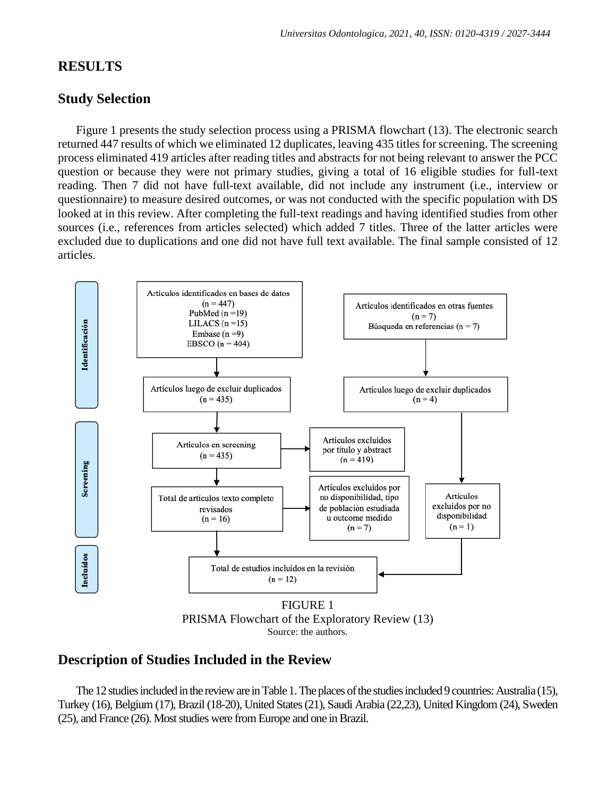# **RESULTS**

### **Study Selection**

Figure 1 presents the study selection process using a PRISMA flowchart (13). The electronic search returned 447 results of which we eliminated 12 duplicates, leaving 435 titles for screening. The screening process eliminated 419 articles after reading titles and abstracts for not being relevant to answer the PCC question or because they were not primary studies, giving a total of 16 eligible studies for full-text reading. Then 7 did not have full-text available, did not include any instrument (i.e., interview or questionnaire) to measure desired outcomes, or was not conducted with the specific population with DS looked at in this review. After completing the full-text readings and having identified studies from other sources (i.e., references from articles selected) which added 7 titles. Three of the latter articles were excluded due to duplications and one did not have full text available. The final sample consisted of 12 articles.



Source: the authors.

# **Description of Studies Included in the Review**

The 12 studies included in the review are in Table 1. The places of the studies included 9 countries: Australia (15), Turkey (16), Belgium (17), Brazil (18-20), United States (21), Saudi Arabia (22,23), United Kingdom (24), Sweden (25), and France (26). Most studies were from Europe and one in Brazil.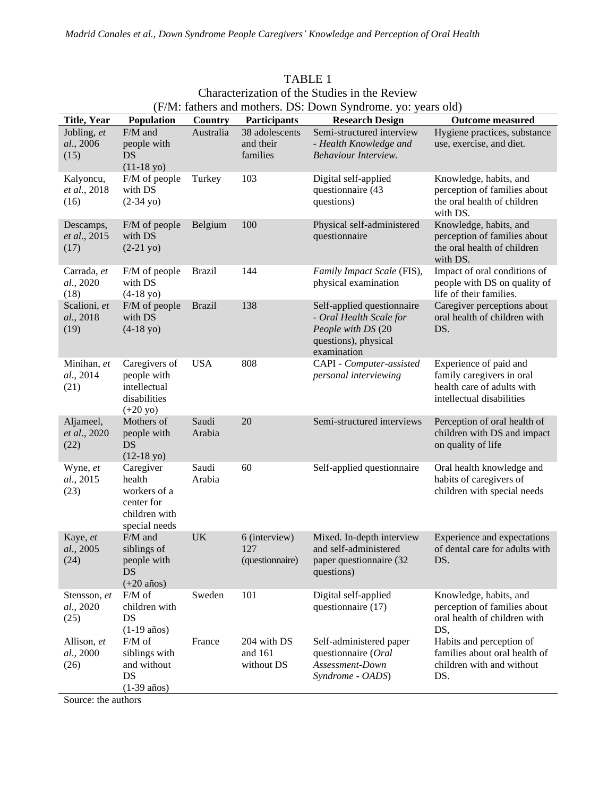| (F/M: fathers and mothers. DS: Down Syndrome. yo: years old) |                                                                                     |                 |                                         |                                                                                                                    |                                                                                                                |
|--------------------------------------------------------------|-------------------------------------------------------------------------------------|-----------------|-----------------------------------------|--------------------------------------------------------------------------------------------------------------------|----------------------------------------------------------------------------------------------------------------|
| <b>Title, Year</b>                                           | Population                                                                          | Country         | Participants                            | <b>Research Design</b>                                                                                             | <b>Outcome measured</b>                                                                                        |
| Jobling, et<br>al., 2006<br>(15)                             | F/M and<br>people with<br>DS<br>$(11-18 yo)$                                        | Australia       | 38 adolescents<br>and their<br>families | Semi-structured interview<br>- Health Knowledge and<br>Behaviour Interview.                                        | Hygiene practices, substance<br>use, exercise, and diet.                                                       |
| Kalyoncu,<br>et al., 2018<br>(16)                            | F/M of people<br>with DS<br>$(2-34 yo)$                                             | Turkey          | 103                                     | Digital self-applied<br>questionnaire (43<br>questions)                                                            | Knowledge, habits, and<br>perception of families about<br>the oral health of children<br>with DS.              |
| Descamps,<br>et al., 2015<br>(17)                            | F/M of people<br>with DS<br>$(2-21 yo)$                                             | Belgium         | 100                                     | Physical self-administered<br>questionnaire                                                                        | Knowledge, habits, and<br>perception of families about<br>the oral health of children<br>with DS.              |
| Carrada, et<br>al., 2020<br>(18)                             | F/M of people<br>with DS<br>$(4-18 yo)$                                             | <b>Brazil</b>   | 144                                     | Family Impact Scale (FIS),<br>physical examination                                                                 | Impact of oral conditions of<br>people with DS on quality of<br>life of their families.                        |
| Scalioni, et<br>al., 2018<br>(19)                            | F/M of people<br>with DS<br>$(4-18 yo)$                                             | <b>Brazil</b>   | 138                                     | Self-applied questionnaire<br>- Oral Health Scale for<br>People with DS (20<br>questions), physical<br>examination | Caregiver perceptions about<br>oral health of children with<br>DS.                                             |
| Minihan, et<br>al., 2014<br>(21)                             | Caregivers of<br>people with<br>intellectual<br>disabilities<br>$(+20 yo)$          | <b>USA</b>      | 808                                     | CAPI - Computer-assisted<br>personal interviewing                                                                  | Experience of paid and<br>family caregivers in oral<br>health care of adults with<br>intellectual disabilities |
| Aljameel,<br>et al., 2020<br>(22)                            | Mothers of<br>people with<br>DS<br>$(12-18y)$                                       | Saudi<br>Arabia | 20                                      | Semi-structured interviews                                                                                         | Perception of oral health of<br>children with DS and impact<br>on quality of life                              |
| Wyne, et<br>al., 2015<br>(23)                                | Caregiver<br>health<br>workers of a<br>center for<br>children with<br>special needs | Saudi<br>Arabia | 60                                      | Self-applied questionnaire                                                                                         | Oral health knowledge and<br>habits of caregivers of<br>children with special needs                            |
| Kaye, et<br>al., 2005<br>(24)                                | F/M and<br>siblings of<br>people with<br>DS<br>$(+20 \text{ años})$                 | <b>UK</b>       | 6 (interview)<br>127<br>(questionnaire) | Mixed. In-depth interview<br>and self-administered<br>paper questionnaire (32<br>questions)                        | Experience and expectations<br>of dental care for adults with<br>DS.                                           |
| Stensson, et<br>al., 2020<br>(25)                            | F/M of<br>children with<br>DS<br>$(1-19 \text{ años})$                              | Sweden          | 101                                     | Digital self-applied<br>questionnaire (17)                                                                         | Knowledge, habits, and<br>perception of families about<br>oral health of children with<br>DS,                  |
| Allison, et<br>al., 2000<br>(26)                             | F/M of<br>siblings with<br>and without<br>DS<br>$(1-39 \text{ años})$               | France          | 204 with DS<br>and 161<br>without DS    | Self-administered paper<br>questionnaire (Oral<br>Assessment-Down<br>Syndrome - OADS)                              | Habits and perception of<br>families about oral health of<br>children with and without<br>DS.                  |

| TABLE 1                                               |
|-------------------------------------------------------|
| Characterization of the Studies in the Review         |
| M. fathers and mothers DS. Down Syndrome, yo: years o |

Source: the authors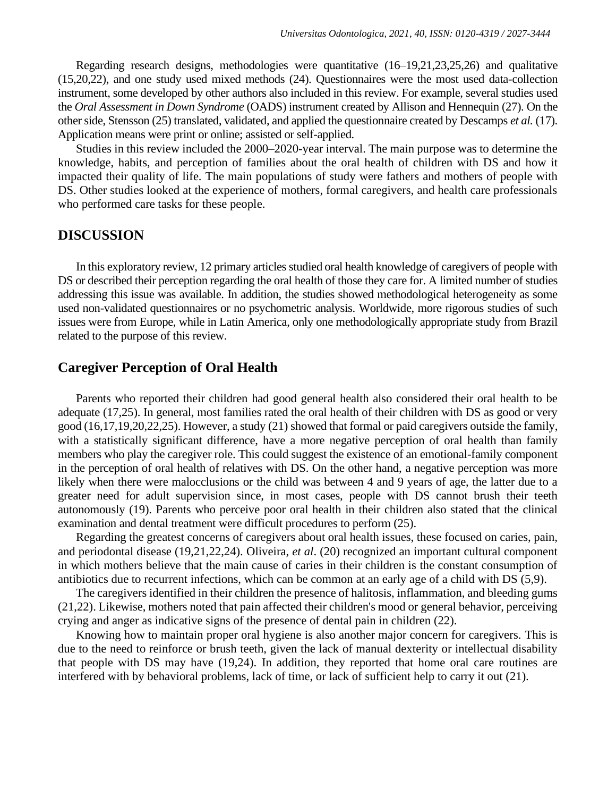Regarding research designs, methodologies were quantitative (16–19,21,23,25,26) and qualitative (15,20,22), and one study used mixed methods (24). Questionnaires were the most used data-collection instrument, some developed by other authors also included in this review. For example, several studies used the *Oral Assessment in Down Syndrome* (OADS) instrument created by Allison and Hennequin (27). On the other side, Stensson (25) translated, validated, and applied the questionnaire created by Descamps *et al.* (17). Application means were print or online; assisted or self-applied.

Studies in this review included the 2000–2020-year interval. The main purpose was to determine the knowledge, habits, and perception of families about the oral health of children with DS and how it impacted their quality of life. The main populations of study were fathers and mothers of people with DS. Other studies looked at the experience of mothers, formal caregivers, and health care professionals who performed care tasks for these people.

#### **DISCUSSION**

In this exploratory review, 12 primary articles studied oral health knowledge of caregivers of people with DS or described their perception regarding the oral health of those they care for. A limited number of studies addressing this issue was available. In addition, the studies showed methodological heterogeneity as some used non-validated questionnaires or no psychometric analysis. Worldwide, more rigorous studies of such issues were from Europe, while in Latin America, only one methodologically appropriate study from Brazil related to the purpose of this review.

## **Caregiver Perception of Oral Health**

Parents who reported their children had good general health also considered their oral health to be adequate (17,25). In general, most families rated the oral health of their children with DS as good or very good (16,17,19,20,22,25). However, a study (21) showed that formal or paid caregivers outside the family, with a statistically significant difference, have a more negative perception of oral health than family members who play the caregiver role. This could suggest the existence of an emotional-family component in the perception of oral health of relatives with DS. On the other hand, a negative perception was more likely when there were malocclusions or the child was between 4 and 9 years of age, the latter due to a greater need for adult supervision since, in most cases, people with DS cannot brush their teeth autonomously (19). Parents who perceive poor oral health in their children also stated that the clinical examination and dental treatment were difficult procedures to perform (25).

Regarding the greatest concerns of caregivers about oral health issues, these focused on caries, pain, and periodontal disease (19,21,22,24). Oliveira, *et al*. (20) recognized an important cultural component in which mothers believe that the main cause of caries in their children is the constant consumption of antibiotics due to recurrent infections, which can be common at an early age of a child with DS (5,9).

The caregivers identified in their children the presence of halitosis, inflammation, and bleeding gums (21,22). Likewise, mothers noted that pain affected their children's mood or general behavior, perceiving crying and anger as indicative signs of the presence of dental pain in children (22).

Knowing how to maintain proper oral hygiene is also another major concern for caregivers. This is due to the need to reinforce or brush teeth, given the lack of manual dexterity or intellectual disability that people with DS may have (19,24). In addition, they reported that home oral care routines are interfered with by behavioral problems, lack of time, or lack of sufficient help to carry it out (21).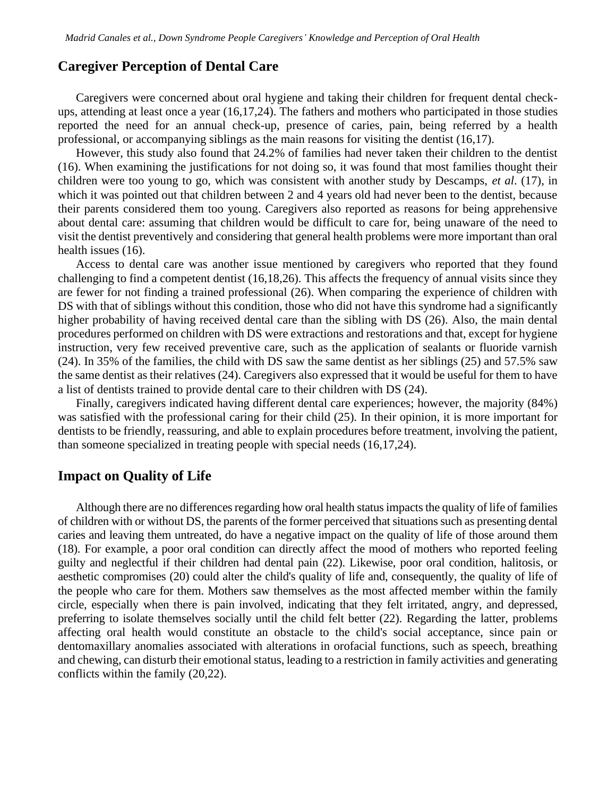#### **Caregiver Perception of Dental Care**

Caregivers were concerned about oral hygiene and taking their children for frequent dental checkups, attending at least once a year (16,17,24). The fathers and mothers who participated in those studies reported the need for an annual check-up, presence of caries, pain, being referred by a health professional, or accompanying siblings as the main reasons for visiting the dentist (16,17).

However, this study also found that 24.2% of families had never taken their children to the dentist (16). When examining the justifications for not doing so, it was found that most families thought their children were too young to go, which was consistent with another study by Descamps, *et al*. (17), in which it was pointed out that children between 2 and 4 years old had never been to the dentist, because their parents considered them too young. Caregivers also reported as reasons for being apprehensive about dental care: assuming that children would be difficult to care for, being unaware of the need to visit the dentist preventively and considering that general health problems were more important than oral health issues (16).

Access to dental care was another issue mentioned by caregivers who reported that they found challenging to find a competent dentist (16,18,26). This affects the frequency of annual visits since they are fewer for not finding a trained professional (26). When comparing the experience of children with DS with that of siblings without this condition, those who did not have this syndrome had a significantly higher probability of having received dental care than the sibling with DS (26). Also, the main dental procedures performed on children with DS were extractions and restorations and that, except for hygiene instruction, very few received preventive care, such as the application of sealants or fluoride varnish (24). In 35% of the families, the child with DS saw the same dentist as her siblings (25) and 57.5% saw the same dentist as their relatives (24). Caregivers also expressed that it would be useful for them to have a list of dentists trained to provide dental care to their children with DS (24).

Finally, caregivers indicated having different dental care experiences; however, the majority (84%) was satisfied with the professional caring for their child (25). In their opinion, it is more important for dentists to be friendly, reassuring, and able to explain procedures before treatment, involving the patient, than someone specialized in treating people with special needs (16,17,24).

## **Impact on Quality of Life**

Although there are no differences regarding how oral health status impacts the quality of life of families of children with or without DS, the parents of the former perceived that situations such as presenting dental caries and leaving them untreated, do have a negative impact on the quality of life of those around them (18). For example, a poor oral condition can directly affect the mood of mothers who reported feeling guilty and neglectful if their children had dental pain (22). Likewise, poor oral condition, halitosis, or aesthetic compromises (20) could alter the child's quality of life and, consequently, the quality of life of the people who care for them. Mothers saw themselves as the most affected member within the family circle, especially when there is pain involved, indicating that they felt irritated, angry, and depressed, preferring to isolate themselves socially until the child felt better (22). Regarding the latter, problems affecting oral health would constitute an obstacle to the child's social acceptance, since pain or dentomaxillary anomalies associated with alterations in orofacial functions, such as speech, breathing and chewing, can disturb their emotional status, leading to a restriction in family activities and generating conflicts within the family (20,22).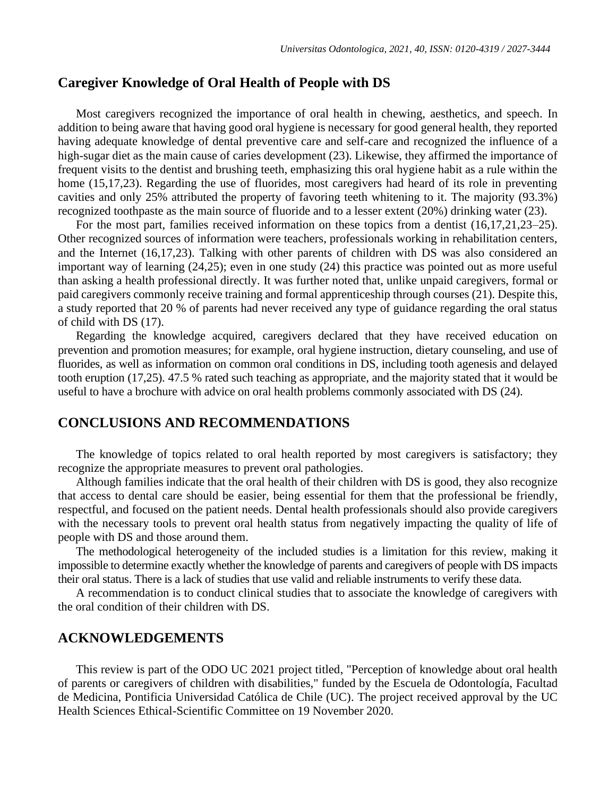## **Caregiver Knowledge of Oral Health of People with DS**

Most caregivers recognized the importance of oral health in chewing, aesthetics, and speech. In addition to being aware that having good oral hygiene is necessary for good general health, they reported having adequate knowledge of dental preventive care and self-care and recognized the influence of a high-sugar diet as the main cause of caries development (23). Likewise, they affirmed the importance of frequent visits to the dentist and brushing teeth, emphasizing this oral hygiene habit as a rule within the home (15,17,23). Regarding the use of fluorides, most caregivers had heard of its role in preventing cavities and only 25% attributed the property of favoring teeth whitening to it. The majority (93.3%) recognized toothpaste as the main source of fluoride and to a lesser extent (20%) drinking water (23).

For the most part, families received information on these topics from a dentist (16,17,21,23–25). Other recognized sources of information were teachers, professionals working in rehabilitation centers, and the Internet (16,17,23). Talking with other parents of children with DS was also considered an important way of learning (24,25); even in one study (24) this practice was pointed out as more useful than asking a health professional directly. It was further noted that, unlike unpaid caregivers, formal or paid caregivers commonly receive training and formal apprenticeship through courses (21). Despite this, a study reported that 20 % of parents had never received any type of guidance regarding the oral status of child with DS (17).

Regarding the knowledge acquired, caregivers declared that they have received education on prevention and promotion measures; for example, oral hygiene instruction, dietary counseling, and use of fluorides, as well as information on common oral conditions in DS, including tooth agenesis and delayed tooth eruption (17,25). 47.5 % rated such teaching as appropriate, and the majority stated that it would be useful to have a brochure with advice on oral health problems commonly associated with DS (24).

### **CONCLUSIONS AND RECOMMENDATIONS**

The knowledge of topics related to oral health reported by most caregivers is satisfactory; they recognize the appropriate measures to prevent oral pathologies.

Although families indicate that the oral health of their children with DS is good, they also recognize that access to dental care should be easier, being essential for them that the professional be friendly, respectful, and focused on the patient needs. Dental health professionals should also provide caregivers with the necessary tools to prevent oral health status from negatively impacting the quality of life of people with DS and those around them.

The methodological heterogeneity of the included studies is a limitation for this review, making it impossible to determine exactly whether the knowledge of parents and caregivers of people with DS impacts their oral status. There is a lack of studies that use valid and reliable instruments to verify these data.

A recommendation is to conduct clinical studies that to associate the knowledge of caregivers with the oral condition of their children with DS.

## **ACKNOWLEDGEMENTS**

This review is part of the ODO UC 2021 project titled, "Perception of knowledge about oral health of parents or caregivers of children with disabilities," funded by the Escuela de Odontología, Facultad de Medicina, Pontificia Universidad Católica de Chile (UC). The project received approval by the UC Health Sciences Ethical-Scientific Committee on 19 November 2020.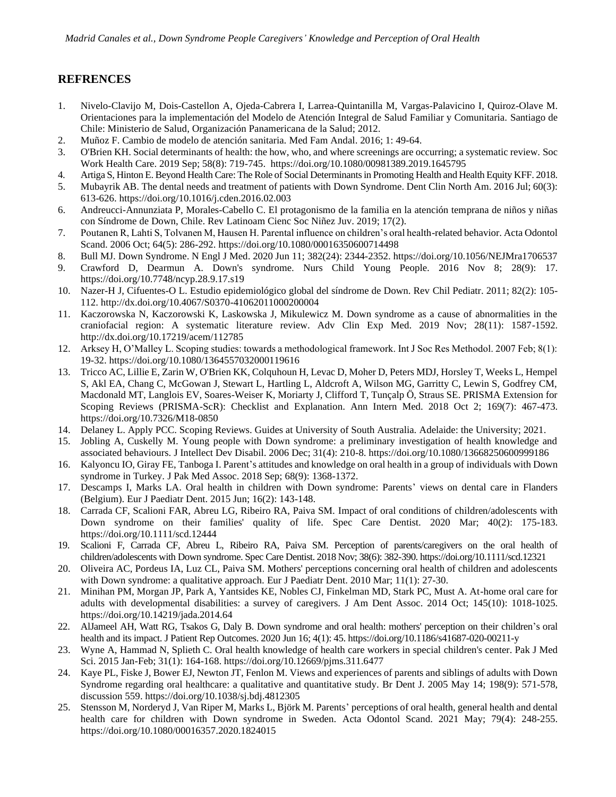#### **REFRENCES**

- 1. Nivelo-Clavijo M, Dois-Castellon A, Ojeda-Cabrera I, Larrea-Quintanilla M, Vargas-Palavicino I, Quiroz-Olave M. Orientaciones para la implementación del Modelo de Atención Integral de Salud Familiar y Comunitaria. Santiago de Chile: Ministerio de Salud, Organización Panamericana de la Salud; 2012.
- 2. Muñoz F. Cambio de modelo de atención sanitaria. Med Fam Andal. 2016; 1: 49-64.
- 3. O'Brien KH. Social determinants of health: the how, who, and where screenings are occurring; a systematic review. Soc Work Health Care. 2019 Sep; 58(8): 719-745. <https://doi.org/10.1080/00981389.2019.1645795>
- 4. Artiga S, Hinton E. Beyond Health Care: The Role of Social Determinants in Promoting Health and Health Equity KFF. 2018.
- 5. Mubayrik AB. The dental needs and treatment of patients with Down Syndrome. Dent Clin North Am. 2016 Jul; 60(3): 613-626[. https://doi.org/10.1016/j.cden.2016.02.003](https://doi.org/10.1016/j.cden.2016.02.003)
- 6. Andreucci-Annunziata P, Morales-Cabello C. El protagonismo de la familia en la atención temprana de niños y niñas con Síndrome de Down, Chile. Rev Latinoam Cienc Soc Niñez Juv. 2019; 17(2).
- 7. Poutanen R, Lahti S, Tolvanen M, Hausen H. Parental influence on children's oral health-related behavior. Acta Odontol Scand. 2006 Oct; 64(5): 286-292.<https://doi.org/10.1080/00016350600714498>
- 8. Bull MJ. Down Syndrome. N Engl J Med. 2020 Jun 11; 382(24): 2344-2352.<https://doi.org/10.1056/NEJMra1706537>
- 9. Crawford D, Dearmun A. Down's syndrome. Nurs Child Young People. 2016 Nov 8; 28(9): 17. <https://doi.org/10.7748/ncyp.28.9.17.s19>
- 10. Nazer-H J, Cifuentes-O L. Estudio epidemiológico global del síndrome de Down. Rev Chil Pediatr. 2011; 82(2): 105- 112.<http://dx.doi.org/10.4067/S0370-41062011000200004>
- 11. Kaczorowska N, Kaczorowski K, Laskowska J, Mikulewicz M. Down syndrome as a cause of abnormalities in the craniofacial region: A systematic literature review. Adv Clin Exp Med. 2019 Nov; 28(11): 1587-1592. <http://dx.doi.org/10.17219/acem/112785>
- 12. Arksey H, O'Malley L. Scoping studies: towards a methodological framework. Int J Soc Res Methodol. 2007 Feb; 8(1): 19-32[. https://doi.org/10.1080/1364557032000119616](https://doi.org/10.1080/1364557032000119616)
- 13. Tricco AC, Lillie E, Zarin W, O'Brien KK, Colquhoun H, Levac D, Moher D, Peters MDJ, Horsley T, Weeks L, Hempel S, Akl EA, Chang C, McGowan J, Stewart L, Hartling L, Aldcroft A, Wilson MG, Garritty C, Lewin S, Godfrey CM, Macdonald MT, Langlois EV, Soares-Weiser K, Moriarty J, Clifford T, Tunçalp Ö, Straus SE. PRISMA Extension for Scoping Reviews (PRISMA-ScR): Checklist and Explanation. Ann Intern Med. 2018 Oct 2; 169(7): 467-473. <https://doi.org/10.7326/M18-0850>
- 14. Delaney L. Apply PCC. Scoping Reviews. Guides at University of South Australia. Adelaide: the University; 2021.
- 15. Jobling A, Cuskelly M. Young people with Down syndrome: a preliminary investigation of health knowledge and associated behaviours. J Intellect Dev Disabil. 2006 Dec; 31(4): 210-8[. https://doi.org/10.1080/13668250600999186](https://doi.org/10.1080/13668250600999186)
- 16. Kalyoncu IO, Giray FE, Tanboga I. Parent's attitudes and knowledge on oral health in a group of individuals with Down syndrome in Turkey. J Pak Med Assoc. 2018 Sep; 68(9): 1368-1372.
- 17. Descamps I, Marks LA. Oral health in children with Down syndrome: Parents' views on dental care in Flanders (Belgium). Eur J Paediatr Dent. 2015 Jun; 16(2): 143-148.
- 18. Carrada CF, Scalioni FAR, Abreu LG, Ribeiro RA, Paiva SM. Impact of oral conditions of children/adolescents with Down syndrome on their families' quality of life. Spec Care Dentist. 2020 Mar; 40(2): 175-183. <https://doi.org/10.1111/scd.12444>
- 19. Scalioni F, Carrada CF, Abreu L, Ribeiro RA, Paiva SM. Perception of parents/caregivers on the oral health of children/adolescents with Down syndrome. Spec Care Dentist. 2018 Nov; 38(6): 382-390. <https://doi.org/10.1111/scd.12321>
- 20. Oliveira AC, Pordeus IA, Luz CL, Paiva SM. Mothers' perceptions concerning oral health of children and adolescents with Down syndrome: a qualitative approach. Eur J Paediatr Dent. 2010 Mar; 11(1): 27-30.
- 21. Minihan PM, Morgan JP, Park A, Yantsides KE, Nobles CJ, Finkelman MD, Stark PC, Must A. At-home oral care for adults with developmental disabilities: a survey of caregivers. J Am Dent Assoc. 2014 Oct; 145(10): 1018-1025. <https://doi.org/10.14219/jada.2014.64>
- 22. AlJameel AH, Watt RG, Tsakos G, Daly B. Down syndrome and oral health: mothers' perception on their children's oral health and its impact. J Patient Rep Outcomes. 2020 Jun 16; 4(1): 45.<https://doi.org/10.1186/s41687-020-00211-y>
- 23. Wyne A, Hammad N, Splieth C. Oral health knowledge of health care workers in special children's center. Pak J Med Sci. 2015 Jan-Feb; 31(1): 164-168[. https://doi.org/10.12669/pjms.311.6477](https://doi.org/10.12669/pjms.311.6477)
- 24. Kaye PL, Fiske J, Bower EJ, Newton JT, Fenlon M. Views and experiences of parents and siblings of adults with Down Syndrome regarding oral healthcare: a qualitative and quantitative study. Br Dent J. 2005 May 14; 198(9): 571-578, discussion 559.<https://doi.org/10.1038/sj.bdj.4812305>
- 25. Stensson M, Norderyd J, Van Riper M, Marks L, Björk M. Parents' perceptions of oral health, general health and dental health care for children with Down syndrome in Sweden. Acta Odontol Scand. 2021 May; 79(4): 248-255. <https://doi.org/10.1080/00016357.2020.1824015>